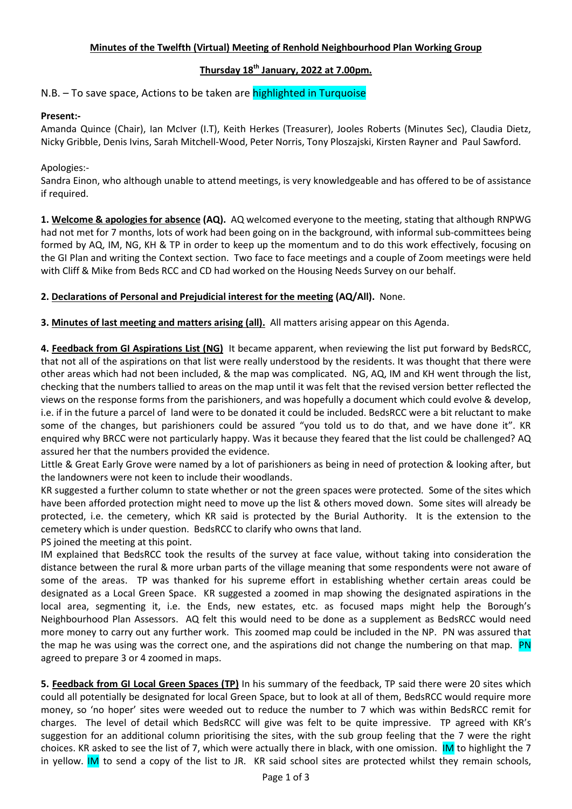## Minutes of the Twelfth (Virtual) Meeting of Renhold Neighbourhood Plan Working Group

# Thursday  $18<sup>th</sup>$  January, 2022 at 7.00pm.

N.B. – To save space, Actions to be taken are highlighted in Turquoise

# Present:-

Amanda Quince (Chair), Ian McIver (I.T), Keith Herkes (Treasurer), Jooles Roberts (Minutes Sec), Claudia Dietz, Nicky Gribble, Denis Ivins, Sarah Mitchell-Wood, Peter Norris, Tony Ploszajski, Kirsten Rayner and Paul Sawford.

## Apologies:-

Sandra Einon, who although unable to attend meetings, is very knowledgeable and has offered to be of assistance if required.

1. Welcome & apologies for absence (AQ). AQ welcomed everyone to the meeting, stating that although RNPWG had not met for 7 months, lots of work had been going on in the background, with informal sub-committees being formed by AQ, IM, NG, KH & TP in order to keep up the momentum and to do this work effectively, focusing on the GI Plan and writing the Context section. Two face to face meetings and a couple of Zoom meetings were held with Cliff & Mike from Beds RCC and CD had worked on the Housing Needs Survey on our behalf.

## 2. Declarations of Personal and Prejudicial interest for the meeting (AQ/All). None.

3. Minutes of last meeting and matters arising (all). All matters arising appear on this Agenda.

4. Feedback from GI Aspirations List (NG) It became apparent, when reviewing the list put forward by BedsRCC, that not all of the aspirations on that list were really understood by the residents. It was thought that there were other areas which had not been included, & the map was complicated. NG, AQ, IM and KH went through the list, checking that the numbers tallied to areas on the map until it was felt that the revised version better reflected the views on the response forms from the parishioners, and was hopefully a document which could evolve & develop, i.e. if in the future a parcel of land were to be donated it could be included. BedsRCC were a bit reluctant to make some of the changes, but parishioners could be assured "you told us to do that, and we have done it". KR enquired why BRCC were not particularly happy. Was it because they feared that the list could be challenged? AQ assured her that the numbers provided the evidence.

Little & Great Early Grove were named by a lot of parishioners as being in need of protection & looking after, but the landowners were not keen to include their woodlands.

KR suggested a further column to state whether or not the green spaces were protected. Some of the sites which have been afforded protection might need to move up the list & others moved down. Some sites will already be protected, i.e. the cemetery, which KR said is protected by the Burial Authority. It is the extension to the cemetery which is under question. BedsRCC to clarify who owns that land.

PS joined the meeting at this point.

IM explained that BedsRCC took the results of the survey at face value, without taking into consideration the distance between the rural & more urban parts of the village meaning that some respondents were not aware of some of the areas. TP was thanked for his supreme effort in establishing whether certain areas could be designated as a Local Green Space. KR suggested a zoomed in map showing the designated aspirations in the local area, segmenting it, i.e. the Ends, new estates, etc. as focused maps might help the Borough's Neighbourhood Plan Assessors. AQ felt this would need to be done as a supplement as BedsRCC would need more money to carry out any further work. This zoomed map could be included in the NP. PN was assured that the map he was using was the correct one, and the aspirations did not change the numbering on that map. PN agreed to prepare 3 or 4 zoomed in maps.

5. Feedback from GI Local Green Spaces (TP) In his summary of the feedback, TP said there were 20 sites which could all potentially be designated for local Green Space, but to look at all of them, BedsRCC would require more money, so 'no hoper' sites were weeded out to reduce the number to 7 which was within BedsRCC remit for charges. The level of detail which BedsRCC will give was felt to be quite impressive. TP agreed with KR's suggestion for an additional column prioritising the sites, with the sub group feeling that the 7 were the right choices. KR asked to see the list of 7, which were actually there in black, with one omission. IM to highlight the 7 in yellow. IM to send a copy of the list to JR. KR said school sites are protected whilst they remain schools,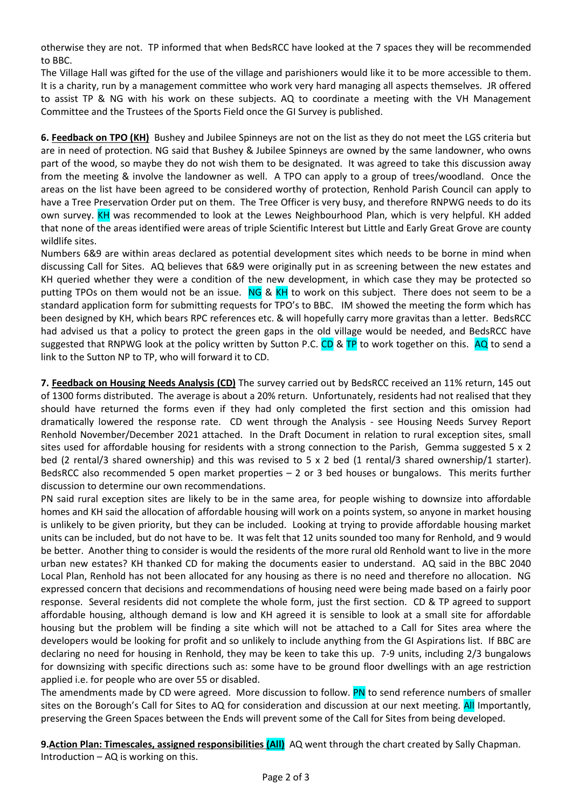otherwise they are not. TP informed that when BedsRCC have looked at the 7 spaces they will be recommended to BBC.

The Village Hall was gifted for the use of the village and parishioners would like it to be more accessible to them. It is a charity, run by a management committee who work very hard managing all aspects themselves. JR offered to assist TP & NG with his work on these subjects. AQ to coordinate a meeting with the VH Management Committee and the Trustees of the Sports Field once the GI Survey is published.

6. Feedback on TPO (KH) Bushey and Jubilee Spinneys are not on the list as they do not meet the LGS criteria but are in need of protection. NG said that Bushey & Jubilee Spinneys are owned by the same landowner, who owns part of the wood, so maybe they do not wish them to be designated. It was agreed to take this discussion away from the meeting & involve the landowner as well. A TPO can apply to a group of trees/woodland. Once the areas on the list have been agreed to be considered worthy of protection, Renhold Parish Council can apply to have a Tree Preservation Order put on them. The Tree Officer is very busy, and therefore RNPWG needs to do its own survey. KH was recommended to look at the Lewes Neighbourhood Plan, which is very helpful. KH added that none of the areas identified were areas of triple Scientific Interest but Little and Early Great Grove are county wildlife sites.

Numbers 6&9 are within areas declared as potential development sites which needs to be borne in mind when discussing Call for Sites. AQ believes that 6&9 were originally put in as screening between the new estates and KH queried whether they were a condition of the new development, in which case they may be protected so putting TPOs on them would not be an issue. NG & KH to work on this subject. There does not seem to be a standard application form for submitting requests for TPO's to BBC. IM showed the meeting the form which has been designed by KH, which bears RPC references etc. & will hopefully carry more gravitas than a letter. BedsRCC had advised us that a policy to protect the green gaps in the old village would be needed, and BedsRCC have suggested that RNPWG look at the policy written by Sutton P.C. CD & TP to work together on this. AQ to send a link to the Sutton NP to TP, who will forward it to CD.

7. Feedback on Housing Needs Analysis (CD) The survey carried out by BedsRCC received an 11% return, 145 out of 1300 forms distributed. The average is about a 20% return. Unfortunately, residents had not realised that they should have returned the forms even if they had only completed the first section and this omission had dramatically lowered the response rate. CD went through the Analysis - see Housing Needs Survey Report Renhold November/December 2021 attached. In the Draft Document in relation to rural exception sites, small sites used for affordable housing for residents with a strong connection to the Parish, Gemma suggested 5 x 2 bed (2 rental/3 shared ownership) and this was revised to 5 x 2 bed (1 rental/3 shared ownership/1 starter). BedsRCC also recommended 5 open market properties – 2 or 3 bed houses or bungalows. This merits further discussion to determine our own recommendations.

PN said rural exception sites are likely to be in the same area, for people wishing to downsize into affordable homes and KH said the allocation of affordable housing will work on a points system, so anyone in market housing is unlikely to be given priority, but they can be included. Looking at trying to provide affordable housing market units can be included, but do not have to be. It was felt that 12 units sounded too many for Renhold, and 9 would be better. Another thing to consider is would the residents of the more rural old Renhold want to live in the more urban new estates? KH thanked CD for making the documents easier to understand. AQ said in the BBC 2040 Local Plan, Renhold has not been allocated for any housing as there is no need and therefore no allocation. NG expressed concern that decisions and recommendations of housing need were being made based on a fairly poor response. Several residents did not complete the whole form, just the first section. CD & TP agreed to support affordable housing, although demand is low and KH agreed it is sensible to look at a small site for affordable housing but the problem will be finding a site which will not be attached to a Call for Sites area where the developers would be looking for profit and so unlikely to include anything from the GI Aspirations list. If BBC are declaring no need for housing in Renhold, they may be keen to take this up. 7-9 units, including 2/3 bungalows for downsizing with specific directions such as: some have to be ground floor dwellings with an age restriction applied i.e. for people who are over 55 or disabled.

The amendments made by CD were agreed. More discussion to follow. PN to send reference numbers of smaller sites on the Borough's Call for Sites to AQ for consideration and discussion at our next meeting. All Importantly, preserving the Green Spaces between the Ends will prevent some of the Call for Sites from being developed.

9. Action Plan: Timescales, assigned responsibilities (All) AQ went through the chart created by Sally Chapman. Introduction – AQ is working on this.